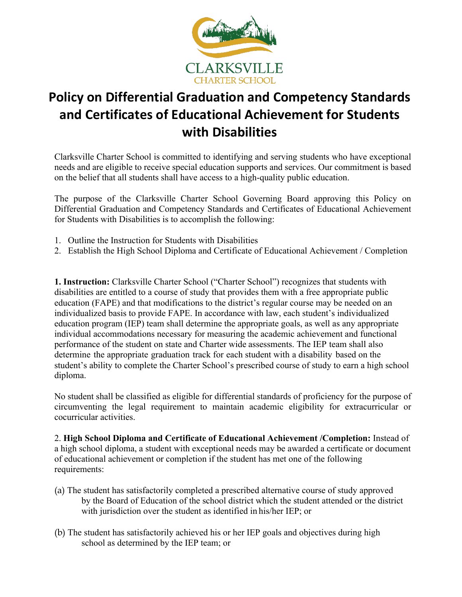

## **Policy on Differential Graduation and Competency Standards and Certificates of Educational Achievement for Students with Disabilities**

Clarksville Charter School is committed to identifying and serving students who have exceptional needs and are eligible to receive special education supports and services. Our commitment is based on the belief that all students shall have access to a high-quality public education.

The purpose of the Clarksville Charter School Governing Board approving this Policy on Differential Graduation and Competency Standards and Certificates of Educational Achievement for Students with Disabilities is to accomplish the following:

- 1. Outline the Instruction for Students with Disabilities
- 2. Establish the High School Diploma and Certificate of Educational Achievement / Completion

**1. Instruction:** Clarksville Charter School ("Charter School") recognizes that students with disabilities are entitled to a course of study that provides them with a free appropriate public education (FAPE) and that modifications to the district's regular course may be needed on an individualized basis to provide FAPE. In accordance with law, each student's individualized education program (IEP) team shall determine the appropriate goals, as well as any appropriate individual accommodations necessary for measuring the academic achievement and functional performance of the student on state and Charter wide assessments. The IEP team shall also determine the appropriate graduation track for each student with a disability based on the student's ability to complete the Charter School's prescribed course of study to earn a high school diploma.

No student shall be classified as eligible for differential standards of proficiency for the purpose of circumventing the legal requirement to maintain academic eligibility for extracurricular or cocurricular activities.

2. **High School Diploma and Certificate of Educational Achievement /Completion:** Instead of a high school diploma, a student with exceptional needs may be awarded a certificate or document of educational achievement or completion if the student has met one of the following requirements:

- (a) The student has satisfactorily completed a prescribed alternative course of study approved by the Board of Education of the school district which the student attended or the district with jurisdiction over the student as identified in his/her IEP; or
- (b) The student has satisfactorily achieved his or her IEP goals and objectives during high school as determined by the IEP team; or